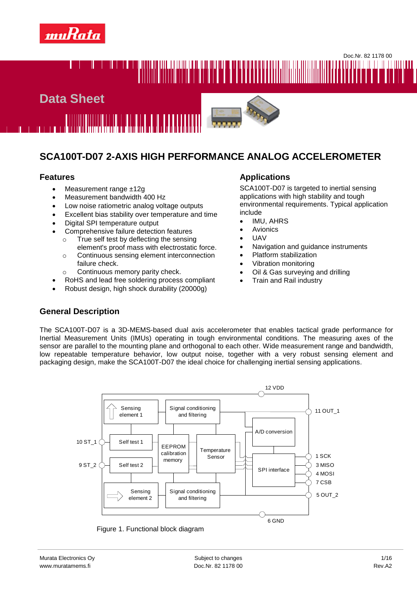



# **SCA100T-D07 2-AXIS HIGH PERFORMANCE ANALOG ACCELEROMETER**

- Measurement range ±12g
- Measurement bandwidth 400 Hz
- Low noise ratiometric analog voltage outputs
- Excellent bias stability over temperature and time
- Digital SPI temperature output
- Comprehensive failure detection features

<u> 1888 - 1888 - 1988 - 1988 - 1988 - 19</u>

- o True self test by deflecting the sensing element's proof mass with electrostatic force.
- o Continuous sensing element interconnection failure check.
- o Continuous memory parity check.
- RoHS and lead free soldering process compliant
- Robust design, high shock durability (20000g)

#### **Features Applications**

SCA100T-D07 is targeted to inertial sensing applications with high stability and tough environmental requirements. Typical application include

- IMU, AHRS
- Avionics
- UAV
- Navigation and guidance instruments
- Platform stabilization
- Vibration monitoring
- Oil & Gas surveying and drilling
- Train and Rail industry

# **General Description**

The SCA100T-D07 is a 3D-MEMS-based dual axis accelerometer that enables tactical grade performance for Inertial Measurement Units (IMUs) operating in tough environmental conditions. The measuring axes of the sensor are parallel to the mounting plane and orthogonal to each other. Wide measurement range and bandwidth, low repeatable temperature behavior, low output noise, together with a very robust sensing element and packaging design, make the SCA100T-D07 the ideal choice for challenging inertial sensing applications.



Figure 1. Functional block diagram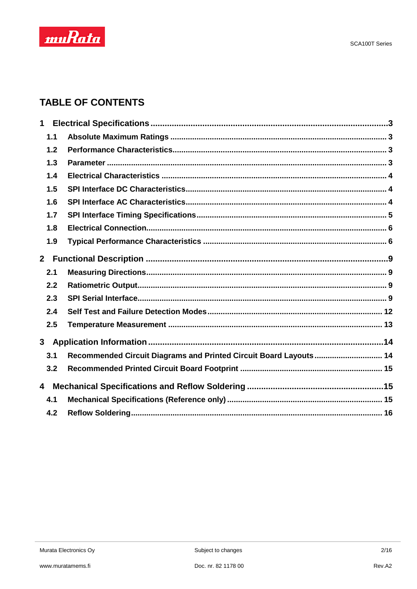

# **TABLE OF CONTENTS**

| $\mathbf 1$    |                                                                   |  |
|----------------|-------------------------------------------------------------------|--|
| 1.1            |                                                                   |  |
| 1.2            |                                                                   |  |
| 1.3            |                                                                   |  |
| 1.4            |                                                                   |  |
| 1.5            |                                                                   |  |
| 1.6            |                                                                   |  |
| 1.7            |                                                                   |  |
| 1.8            |                                                                   |  |
| 1.9            |                                                                   |  |
| 2 <sup>1</sup> |                                                                   |  |
| 2.1            |                                                                   |  |
| 2.2            |                                                                   |  |
| 2.3            |                                                                   |  |
| 2.4            |                                                                   |  |
| 2.5            |                                                                   |  |
|                |                                                                   |  |
| 3.1            | Recommended Circuit Diagrams and Printed Circuit Board Layouts 14 |  |
| 3.2            |                                                                   |  |
| 4              |                                                                   |  |
| 4.1            |                                                                   |  |
| 4.2            |                                                                   |  |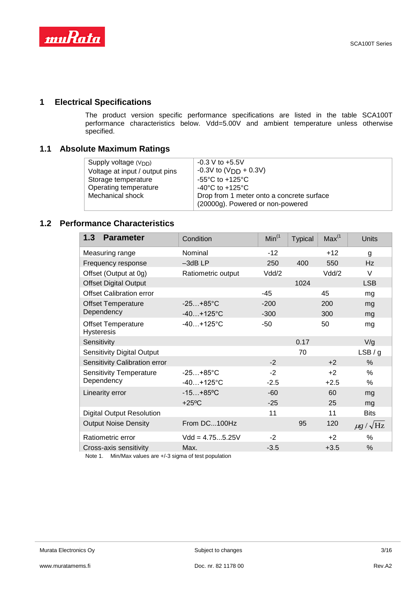

# **1 Electrical Specifications**

The product version specific performance specifications are listed in the table SCA100T performance characteristics below. Vdd=5.00V and ambient temperature unless otherwise specified.

#### **1.1 Absolute Maximum Ratings**

| Supply voltage $(VDD)$         | $-0.3$ V to $+5.5$ V                      |
|--------------------------------|-------------------------------------------|
| Voltage at input / output pins | $-0.3V$ to (V <sub>DD</sub> + 0.3V)       |
| Storage temperature            | $-55^{\circ}$ C to $+125^{\circ}$ C       |
| Operating temperature          | -40 $^{\circ}$ C to +125 $^{\circ}$ C     |
| Mechanical shock               | Drop from 1 meter onto a concrete surface |
|                                | (20000g). Powered or non-powered          |

# **1.2 Performance Characteristics**

| 1.3<br><b>Parameter</b>                        | Condition          | Min <sup>(1)</sup> | <b>Typical</b> | Max <sup>(1)</sup> | Units                 |
|------------------------------------------------|--------------------|--------------------|----------------|--------------------|-----------------------|
| Measuring range                                | Nominal            | $-12$              |                | $+12$              | g                     |
| Frequency response                             | $-3$ dBLP          | 250                | 400            | 550                | Hz                    |
| Offset (Output at 0g)                          | Ratiometric output | Vdd/2              |                | Vdd/2              | V                     |
| <b>Offset Digital Output</b>                   |                    |                    | 1024           |                    | <b>LSB</b>            |
| <b>Offset Calibration error</b>                |                    | $-45$              |                | 45                 | mg                    |
| <b>Offset Temperature</b>                      | $-25+85^{\circ}C$  | $-200$             |                | 200                | mg                    |
| Dependency                                     | $-40+125$ °C       | $-300$             |                | 300                | mg                    |
| <b>Offset Temperature</b><br><b>Hysteresis</b> | $-40+125$ °C       | $-50$              |                | 50                 | mg                    |
| Sensitivity                                    |                    |                    | 0.17           |                    | V/g                   |
| <b>Sensitivity Digital Output</b>              |                    |                    | 70             |                    | LSB/g                 |
| Sensitivity Calibration error                  |                    | $-2$               |                | $+2$               | %                     |
| <b>Sensitivity Temperature</b>                 | $-25+85^{\circ}C$  | $-2$               |                | $+2$               | %                     |
| Dependency                                     | $-40+125$ °C       | $-2.5$             |                | $+2.5$             | %                     |
| Linearity error                                | $-15+85$ °C        | $-60$              |                | 60                 | mg                    |
|                                                | $+25^{\circ}$ C    | $-25$              |                | 25                 | mg                    |
| <b>Digital Output Resolution</b>               |                    | 11                 |                | 11                 | <b>Bits</b>           |
| <b>Output Noise Density</b>                    | From DC100Hz       |                    | 95             | 120                | $\mu$ g / $\sqrt{Hz}$ |
| Ratiometric error                              | $Vdd = 4.755.25V$  | $-2$               |                | $+2$               | %                     |
| Cross-axis sensitivity                         | Max.               | $-3.5$             |                | $+3.5$             | $\%$                  |

Note 1. Min/Max values are +/-3 sigma of test population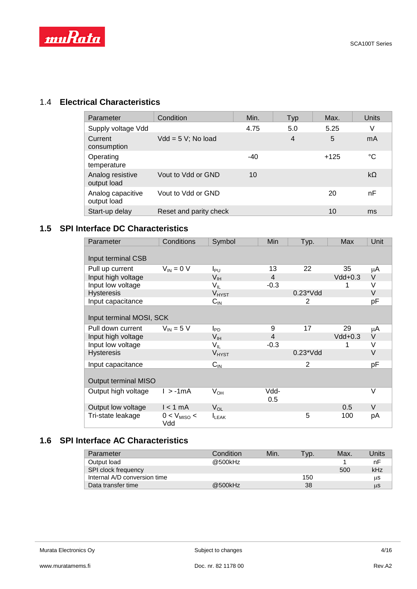

# 1.4 **Electrical Characteristics**

| Parameter                        | Condition              | Min.  | Typ            | Max.   | Units     |
|----------------------------------|------------------------|-------|----------------|--------|-----------|
| Supply voltage Vdd               |                        | 4.75  | 5.0            | 5.25   | V         |
| Current<br>consumption           | $Vdd = 5 V$ ; No load  |       | $\overline{4}$ | 5      | mA        |
| Operating<br>temperature         |                        | $-40$ |                | $+125$ | °C        |
| Analog resistive<br>output load  | Vout to Vdd or GND     | 10    |                |        | $k\Omega$ |
| Analog capacitive<br>output load | Vout to Vdd or GND     |       |                | 20     | nF        |
| Start-up delay                   | Reset and parity check |       |                | 10     | ms        |

# **1.5 SPI Interface DC Characteristics**

| Parameter                | Conditions              | Symbol                     | <b>Min</b> | Typ.            | Max       | Unit   |
|--------------------------|-------------------------|----------------------------|------------|-----------------|-----------|--------|
|                          |                         |                            |            |                 |           |        |
| Input terminal CSB       |                         |                            |            |                 |           |        |
| Pull up current          | $V_{IN} = 0 V$          | I <sub>PU</sub>            | 13         | 22              | 35        | μA     |
| Input high voltage       |                         | V <sub>IH</sub>            | 4          |                 | $Vdd+0.3$ | V      |
| Input low voltage        |                         | $V_{IL}$                   | $-0.3$     |                 |           | V      |
| <b>Hysteresis</b>        |                         | V <sub>HYST</sub>          |            | $0.23$ * $V$ dd |           | V      |
| Input capacitance        |                         | $C_{\text{IN}}$            |            | 2               |           | pF     |
|                          |                         |                            |            |                 |           |        |
| Input terminal MOSI, SCK |                         |                            |            |                 |           |        |
| Pull down current        | $V_{\text{IN}}$ = 5 V   | $I_{PD}$                   | 9          | 17              | 29        | μA     |
| Input high voltage       |                         | $V_{IH}$                   | 4          |                 | $Vdd+0.3$ | V      |
| Input low voltage        |                         | $\mathsf{V}_{\mathsf{IL}}$ | $-0.3$     |                 |           | V      |
| <b>Hysteresis</b>        |                         | V <sub>HYST</sub>          |            | $0.23$ * $V$ dd |           | V      |
| Input capacitance        |                         | $C_{IN}$                   |            | $\overline{2}$  |           | pF     |
| Output terminal MISO     |                         |                            |            |                 |           |        |
| Output high voltage      | $l > -1mA$              | $V_{OH}$                   | Vdd-       |                 |           | V      |
|                          |                         |                            | 0.5        |                 |           |        |
| Output low voltage       | $l < 1$ mA              | $V_{OL}$                   |            |                 | 0.5       | $\vee$ |
| Tri-state leakage        | $0 < V_{MISO} <$<br>Vdd | $I_{LEAK}$                 |            | 5               | 100       | рA     |

# **1.6 SPI Interface AC Characteristics**

| Parameter                    | Condition | Min. | Vp. | Max. | Units |
|------------------------------|-----------|------|-----|------|-------|
| Output load                  | @500kHz   |      |     |      | nF    |
| <b>SPI clock frequency</b>   |           |      |     | 500  | kHz   |
| Internal A/D conversion time |           |      | 150 |      | μS    |
| Data transfer time           | @500kHz   |      | 38  |      | μS    |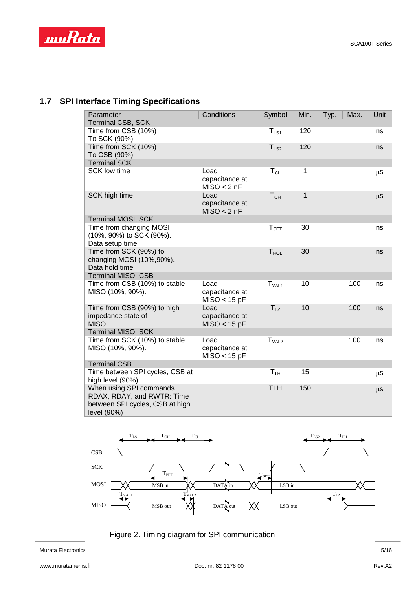

# **1.7 SPI Interface Timing Specifications**

| Parameter                                                                                               | Conditions                               | Symbol            | Min.         | Typ. | Max. | Unit    |
|---------------------------------------------------------------------------------------------------------|------------------------------------------|-------------------|--------------|------|------|---------|
| Terminal CSB, SCK                                                                                       |                                          |                   |              |      |      |         |
| Time from CSB (10%)<br>To SCK (90%)                                                                     |                                          | $T_{LS1}$         | 120          |      |      | ns      |
| Time from SCK (10%)<br>To CSB (90%)                                                                     |                                          | $T_{LS2}$         | 120          |      |      | ns      |
| <b>Terminal SCK</b>                                                                                     |                                          |                   |              |      |      |         |
| <b>SCK low time</b>                                                                                     | Load<br>capacitance at<br>MISO < 2nF     | $T_{CL}$          | $\mathbf{1}$ |      |      | μS      |
| SCK high time                                                                                           | Load<br>capacitance at<br>MISO < 2nF     | T <sub>CH</sub>   | 1            |      |      | $\mu$ s |
| Terminal MOSI, SCK                                                                                      |                                          |                   |              |      |      |         |
| Time from changing MOSI<br>(10%, 90%) to SCK (90%).<br>Data setup time                                  |                                          | $T_{\tt SET}$     | 30           |      |      | ns      |
| Time from SCK (90%) to<br>changing MOSI (10%, 90%).<br>Data hold time                                   |                                          | $T_{HOL}$         | 30           |      |      | ns      |
| <b>Terminal MISO, CSB</b>                                                                               |                                          |                   |              |      |      |         |
| Time from CSB (10%) to stable<br>MISO (10%, 90%).                                                       | Load<br>capacitance at<br>$MISO < 15$ pF | T <sub>VAL1</sub> | 10           |      | 100  | ns      |
| Time from CSB (90%) to high<br>impedance state of<br>MISO.                                              | Load<br>capacitance at<br>$MISO < 15$ pF | $T_{LZ}$          | 10           |      | 100  | ns      |
| <b>Terminal MISO, SCK</b>                                                                               |                                          |                   |              |      |      |         |
| Time from SCK (10%) to stable<br>MISO (10%, 90%).                                                       | Load<br>capacitance at<br>$MISO < 15$ pF | T <sub>VAL2</sub> |              |      | 100  | ns      |
| <b>Terminal CSB</b>                                                                                     |                                          |                   |              |      |      |         |
| Time between SPI cycles, CSB at<br>high level (90%)                                                     |                                          | $T_{LH}$          | 15           |      |      | μS      |
| When using SPI commands<br>RDAX, RDAY, and RWTR: Time<br>between SPI cycles, CSB at high<br>level (90%) |                                          | <b>TLH</b>        | 150          |      |      | $\mu$ S |





Murata Electronics 2008 and 2009 and 2009 and 2009 and 2009 and 2009 and 2009 and 2009 and 2009 and 2009 and 30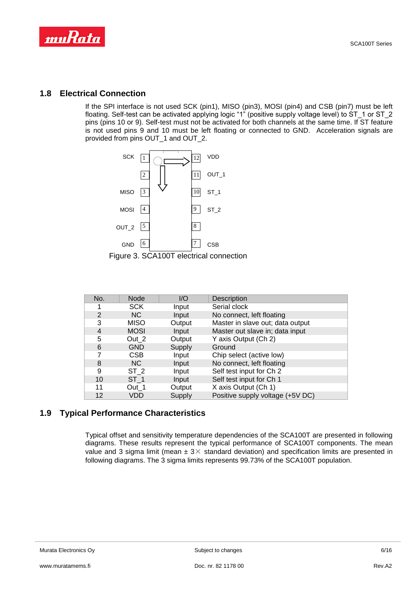

#### **1.8 Electrical Connection**

If the SPI interface is not used SCK (pin1), MISO (pin3), MOSI (pin4) and CSB (pin7) must be left floating. Self-test can be activated applying logic "1" (positive supply voltage level) to ST\_1 or ST\_2 pins (pins 10 or 9). Self-test must not be activated for both channels at the same time. If ST feature is not used pins 9 and 10 must be left floating or connected to GND. Acceleration signals are provided from pins OUT\_1 and OUT\_2.





| No.            | <b>Node</b>     | I/O    | <b>Description</b>               |
|----------------|-----------------|--------|----------------------------------|
|                | <b>SCK</b>      | Input  | Serial clock                     |
| $\overline{2}$ | NC              | Input  | No connect, left floating        |
| 3              | <b>MISO</b>     | Output | Master in slave out; data output |
| 4              | <b>MOSI</b>     | Input  | Master out slave in; data input  |
| 5              | Out 2           | Output | Y axis Output (Ch 2)             |
| 6              | <b>GND</b>      | Supply | Ground                           |
| 7              | <b>CSB</b>      | Input  | Chip select (active low)         |
| 8              | NC              | Input  | No connect, left floating        |
| 9              | ST <sub>2</sub> | Input  | Self test input for Ch 2         |
| 10             | ST <sub>1</sub> | Input  | Self test input for Ch 1         |
| 11             | Out 1           | Output | X axis Output (Ch 1)             |
| 12             | VDD             | Supply | Positive supply voltage (+5V DC) |

## **1.9 Typical Performance Characteristics**

Typical offset and sensitivity temperature dependencies of the SCA100T are presented in following diagrams. These results represent the typical performance of SCA100T components. The mean value and 3 sigma limit (mean  $\pm$  3 $\times$  standard deviation) and specification limits are presented in following diagrams. The 3 sigma limits represents 99.73% of the SCA100T population.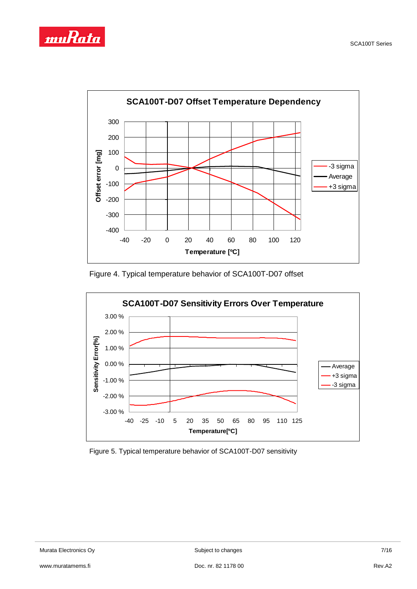



Figure 4. Typical temperature behavior of SCA100T-D07 offset



Figure 5. Typical temperature behavior of SCA100T-D07 sensitivity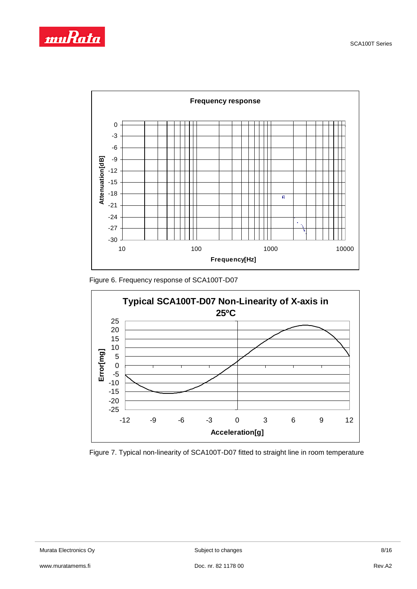



Figure 6. Frequency response of SCA100T-D07



Figure 7. Typical non-linearity of SCA100T-D07 fitted to straight line in room temperature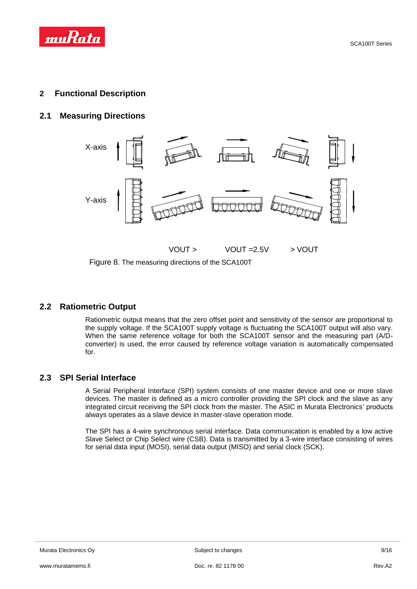

#### **2 Functional Description**

#### **2.1 Measuring Directions**



Figure 8. The measuring directions of the SCA100T

#### **2.2 Ratiometric Output**

Ratiometric output means that the zero offset point and sensitivity of the sensor are proportional to the supply voltage. If the SCA100T supply voltage is fluctuating the SCA100T output will also vary. When the same reference voltage for both the SCA100T sensor and the measuring part (A/Dconverter) is used, the error caused by reference voltage variation is automatically compensated for.

### **2.3 SPI Serial Interface**

A Serial Peripheral Interface (SPI) system consists of one master device and one or more slave devices. The master is defined as a micro controller providing the SPI clock and the slave as any integrated circuit receiving the SPI clock from the master. The ASIC in Murata Electronics' products always operates as a slave device in master-slave operation mode.

The SPI has a 4-wire synchronous serial interface. Data communication is enabled by a low active Slave Select or Chip Select wire (CSB). Data is transmitted by a 3-wire interface consisting of wires for serial data input (MOSI), serial data output (MISO) and serial clock (SCK).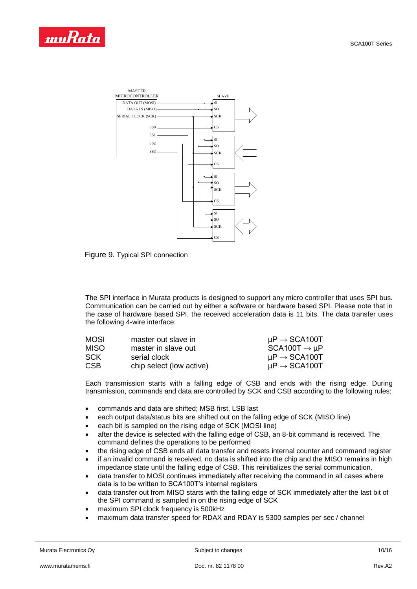



Figure 9. Typical SPI connection

The SPI interface in Murata products is designed to support any micro controller that uses SPI bus. Communication can be carried out by either a software or hardware based SPI. Please note that in the case of hardware based SPI, the received acceleration data is 11 bits. The data transfer uses the following 4-wire interface:

| <b>MOSI</b> | master out slave in      | $\mu$ P $\rightarrow$ SCA100T |
|-------------|--------------------------|-------------------------------|
| <b>MISO</b> | master in slave out      | $SCA100T \rightarrow \mu P$   |
| SCK.        | serial clock             | $\mu$ P $\rightarrow$ SCA100T |
| <b>CSB</b>  | chip select (low active) | $\mu$ P $\rightarrow$ SCA100T |

Each transmission starts with a falling edge of CSB and ends with the rising edge. During transmission, commands and data are controlled by SCK and CSB according to the following rules:

- commands and data are shifted; MSB first, LSB last
- each output data/status bits are shifted out on the falling edge of SCK (MISO line)
- each bit is sampled on the rising edge of SCK (MOSI line)
- after the device is selected with the falling edge of CSB, an 8-bit command is received. The command defines the operations to be performed
- the rising edge of CSB ends all data transfer and resets internal counter and command register
- if an invalid command is received, no data is shifted into the chip and the MISO remains in high impedance state until the falling edge of CSB. This reinitializes the serial communication.
- data transfer to MOSI continues immediately after receiving the command in all cases where data is to be written to SCA100T's internal registers
- data transfer out from MISO starts with the falling edge of SCK immediately after the last bit of the SPI command is sampled in on the rising edge of SCK
- maximum SPI clock frequency is 500kHz
- maximum data transfer speed for RDAX and RDAY is 5300 samples per sec / channel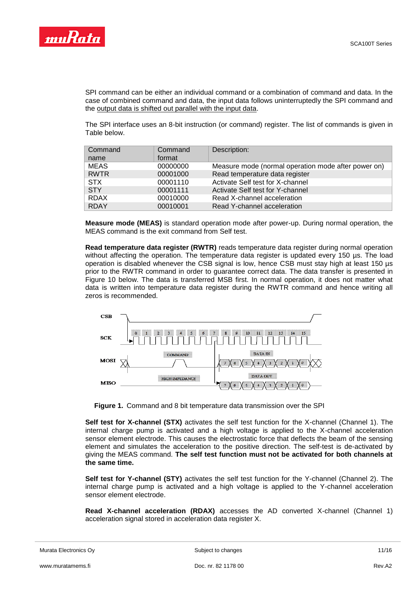

SPI command can be either an individual command or a combination of command and data. In the case of combined command and data, the input data follows uninterruptedly the SPI command and the output data is shifted out parallel with the input data.

The SPI interface uses an 8-bit instruction (or command) register. The list of commands is given in Table below.

| Command     | Command  | Description:                                        |
|-------------|----------|-----------------------------------------------------|
| name        | format   |                                                     |
| <b>MEAS</b> | 00000000 | Measure mode (normal operation mode after power on) |
| <b>RWTR</b> | 00001000 | Read temperature data register                      |
| <b>STX</b>  | 00001110 | Activate Self test for X-channel                    |
| <b>STY</b>  | 00001111 | Activate Self test for Y-channel                    |
| <b>RDAX</b> | 00010000 | Read X-channel acceleration                         |
| <b>RDAY</b> | 00010001 | Read Y-channel acceleration                         |

**Measure mode (MEAS)** is standard operation mode after power-up. During normal operation, the MEAS command is the exit command from Self test.

**Read temperature data register (RWTR)** reads temperature data register during normal operation without affecting the operation. The temperature data register is updated every 150 µs. The load operation is disabled whenever the CSB signal is low, hence CSB must stay high at least 150 µs prior to the RWTR command in order to guarantee correct data. The data transfer is presented in Figure 10 below. The data is transferred MSB first. In normal operation, it does not matter what data is written into temperature data register during the RWTR command and hence writing all zeros is recommended.



**Figure 1.** Command and 8 bit temperature data transmission over the SPI

**Self test for X-channel (STX)** activates the self test function for the X-channel (Channel 1). The internal charge pump is activated and a high voltage is applied to the X-channel acceleration sensor element electrode. This causes the electrostatic force that deflects the beam of the sensing element and simulates the acceleration to the positive direction. The self-test is de-activated by giving the MEAS command. **The self test function must not be activated for both channels at the same time.**

**Self test for Y-channel (STY)** activates the self test function for the Y-channel (Channel 2). The internal charge pump is activated and a high voltage is applied to the Y-channel acceleration sensor element electrode.

**Read X-channel acceleration (RDAX)** accesses the AD converted X-channel (Channel 1) acceleration signal stored in acceleration data register X.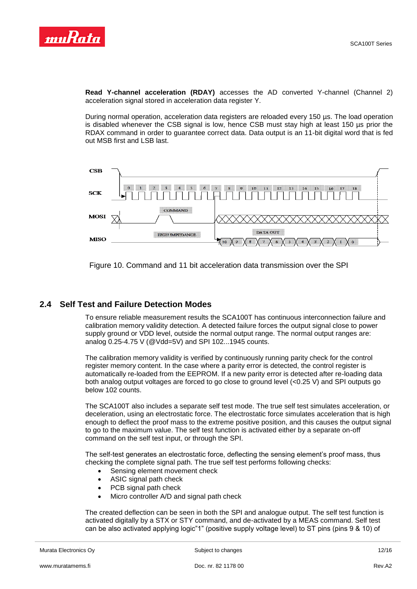

**Read Y-channel acceleration (RDAY)** accesses the AD converted Y-channel (Channel 2) acceleration signal stored in acceleration data register Y.

During normal operation, acceleration data registers are reloaded every 150 µs. The load operation is disabled whenever the CSB signal is low, hence CSB must stay high at least 150 µs prior the RDAX command in order to guarantee correct data. Data output is an 11-bit digital word that is fed out MSB first and LSB last.



Figure 10. Command and 11 bit acceleration data transmission over the SPI

## **2.4 Self Test and Failure Detection Modes**

To ensure reliable measurement results the SCA100T has continuous interconnection failure and calibration memory validity detection. A detected failure forces the output signal close to power supply ground or VDD level, outside the normal output range. The normal output ranges are: analog 0.25-4.75 V (@Vdd=5V) and SPI 102...1945 counts.

The calibration memory validity is verified by continuously running parity check for the control register memory content. In the case where a parity error is detected, the control register is automatically re-loaded from the EEPROM. If a new parity error is detected after re-loading data both analog output voltages are forced to go close to ground level (<0.25 V) and SPI outputs go below 102 counts.

The SCA100T also includes a separate self test mode. The true self test simulates acceleration, or deceleration, using an electrostatic force. The electrostatic force simulates acceleration that is high enough to deflect the proof mass to the extreme positive position, and this causes the output signal to go to the maximum value. The self test function is activated either by a separate on-off command on the self test input, or through the SPI.

The self-test generates an electrostatic force, deflecting the sensing element's proof mass, thus checking the complete signal path. The true self test performs following checks:

- Sensing element movement check
- ASIC signal path check
- PCB signal path check
- Micro controller A/D and signal path check

The created deflection can be seen in both the SPI and analogue output. The self test function is activated digitally by a STX or STY command, and de-activated by a MEAS command. Self test can be also activated applying logic"1" (positive supply voltage level) to ST pins (pins 9 & 10) of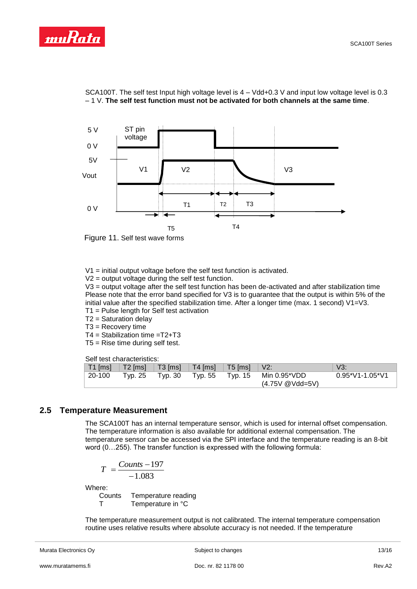



SCA100T. The self test Input high voltage level is 4 – Vdd+0.3 V and input low voltage level is 0.3 – 1 V. **The self test function must not be activated for both channels at the same time**.



V1 = initial output voltage before the self test function is activated.

 $V2$  = output voltage during the self test function.

V3 = output voltage after the self test function has been de-activated and after stabilization time Please note that the error band specified for V3 is to guarantee that the output is within 5% of the initial value after the specified stabilization time. After a longer time (max. 1 second) V1=V3.

- T1 = Pulse length for Self test activation
- T2 = Saturation delay
- T3 = Recovery time
- T4 = Stabilization time =T2+T3
- T5 = Rise time during self test.

Self test characteristics:

|           | <u>oon wou onanaoloniouou</u>               |                 |         |                                     |                       |
|-----------|---------------------------------------------|-----------------|---------|-------------------------------------|-----------------------|
| $T1$ [ms] | T2 [ms]   T3 [ms]   T4 [ms]   T5 [ms]   V2: |                 |         |                                     | V3:                   |
| 20-100    | Tvp. 25                                     | Tvp. 30 Tvp. 55 | Typ. 15 | Min 0.95*VDD<br>$(4.75V \ @Vdd=5V)$ | $0.95^*V1 - 1.05^*V1$ |

#### **2.5 Temperature Measurement**

The SCA100T has an internal temperature sensor, which is used for internal offset compensation. The temperature information is also available for additional external compensation. The temperature sensor can be accessed via the SPI interface and the temperature reading is an 8-bit word (0…255). The transfer function is expressed with the following formula:

$$
T = \frac{Counts - 197}{-1.083}
$$

Where:

Counts Temperature reading T Temperature in °C

The temperature measurement output is not calibrated. The internal temperature compensation routine uses relative results where absolute accuracy is not needed. If the temperature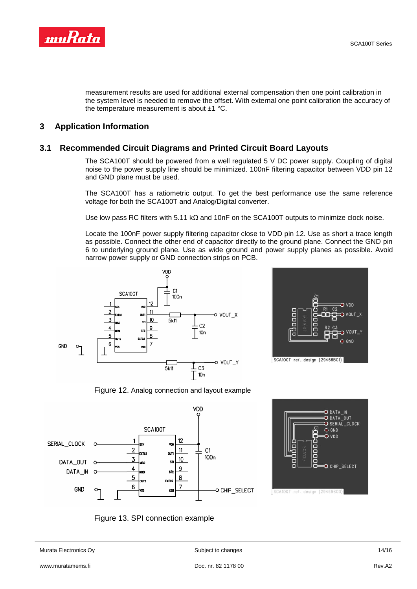

measurement results are used for additional external compensation then one point calibration in the system level is needed to remove the offset. With external one point calibration the accuracy of the temperature measurement is about ±1 °C.

#### **3 Application Information**

#### **3.1 Recommended Circuit Diagrams and Printed Circuit Board Layouts**

The SCA100T should be powered from a well regulated 5 V DC power supply. Coupling of digital noise to the power supply line should be minimized. 100nF filtering capacitor between VDD pin 12 and GND plane must be used.

The SCA100T has a ratiometric output. To get the best performance use the same reference voltage for both the SCA100T and Analog/Digital converter.

Use low pass RC filters with 5.11 k $\Omega$  and 10nF on the SCA100T outputs to minimize clock noise.

Locate the 100nF power supply filtering capacitor close to VDD pin 12. Use as short a trace length as possible. Connect the other end of capacitor directly to the ground plane. Connect the GND pin 6 to underlying ground plane. Use as wide ground and power supply planes as possible. Avoid narrow power supply or GND connection strips on PCB.





Figure 12. Analog connection and layout example







Murata Electronics Oy **Subject to changes** 14/16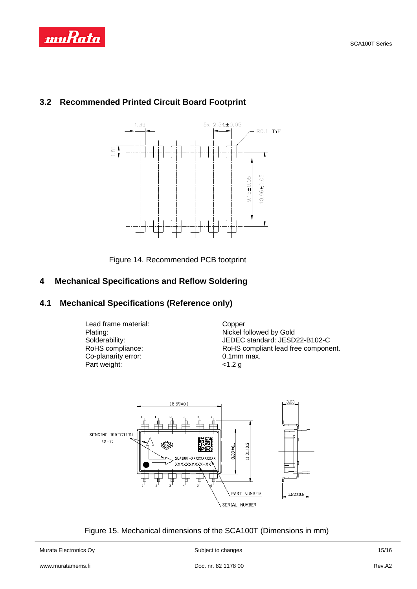

# **3.2 Recommended Printed Circuit Board Footprint**



Figure 14. Recommended PCB footprint

# **4 Mechanical Specifications and Reflow Soldering**

# **4.1 Mechanical Specifications (Reference only)**

Lead frame material: Copper Co-planarity error: 0.1mm<br>
Part weight:  $\begin{array}{ccc} 0.1 \text{mm} \\ \text{Part weight:} \end{array}$ Part weight:

Plating: Nickel followed by Gold<br>
Solderability: Solderability: Solderability: Solderability: Nickel Solderability: Solderability: Sold Solderability: JEDEC standard: JESD22-B102-C<br>RoHS compliance: RoHS compliant lead free compone RoHS compliant lead free component.<br>0.1mm max.



Figure 15. Mechanical dimensions of the SCA100T (Dimensions in mm)